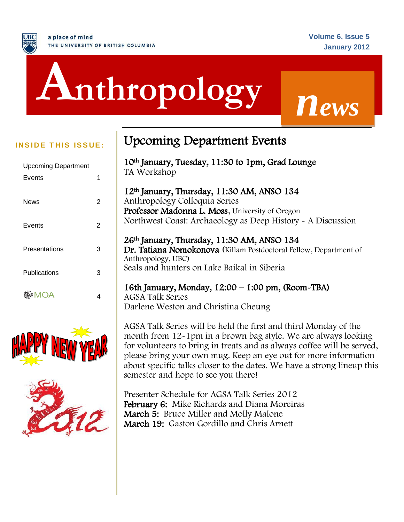# ì **Anthropology** *<sup>n</sup>ews*

| <b>Upcoming Department</b> |   |
|----------------------------|---|
| Events                     | 1 |
|                            |   |
| News                       | 2 |
|                            |   |
| Events                     | 2 |
|                            |   |
| Presentations              | 3 |
|                            |   |
| Publications               | 3 |
|                            |   |
| MOA                        |   |





# **INSIDE THIS ISSUE:** Upcoming Department Events

10th January, Tuesday, 11:30 to 1pm, Grad Lounge TA Workshop

12th January, Thursday, 11:30 AM, ANSO 134 Anthropology Colloquia Series Professor Madonna L. Moss, University of Oregon Northwest Coast: Archaeology as Deep History - A Discussion

#### 26th January, Thursday, 11:30 AM, ANSO 134 Dr. Tatiana Nomokonova (Killam Postdoctoral Fellow, Department of Anthropology, UBC) Seals and hunters on Lake Baikal in Siberia

# 16th January, Monday, 12:00 – 1:00 pm, (Room-TBA)

AGSA Talk Series Darlene Weston and Christina Cheung

AGSA Talk Series will be held the first and third Monday of the month from 12-1pm in a brown bag style. We are always looking for volunteers to bring in treats and as always coffee will be served, please bring your own mug. Keep an eye out for more information about specific talks closer to the dates. We have a strong lineup this semester and hope to see you there!

Presenter Schedule for AGSA Talk Series 2012 February 6: Mike Richards and Diana Moreiras March 5: Bruce Miller and Molly Malone March 19: Gaston Gordillo and Chris Arnett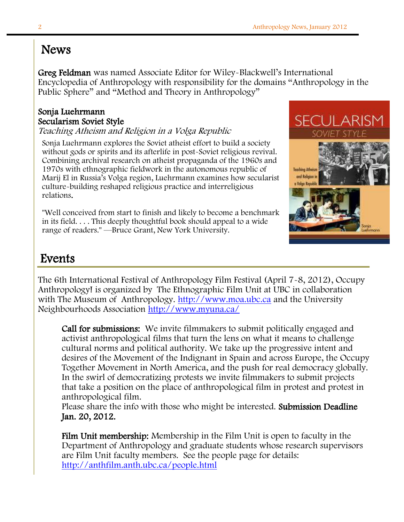# News

Greg Feldman was named Associate Editor for Wiley-Blackwell's International Encyclopedia of Anthropology with responsibility for the domains "Anthropology in the Public Sphere" and "Method and Theory in Anthropology"

### Sonja Luehrmann Secularism Soviet Style

Teaching Atheism and Religion in a Volga Republic

Sonja Luehrmann explores the Soviet atheist effort to build a society without gods or spirits and its afterlife in post-Soviet religious revival. Combining archival research on atheist propaganda of the 1960s and 1970s with ethnographic fieldwork in the autonomous republic of Marij El in Russia's Volga region, Luehrmann examines how secularist culture-building reshaped religious practice and interreligious relations.

"Well conceived from start to finish and likely to become a benchmark in its field. . . . This deeply thoughtful book should appeal to a wide range of readers." —Bruce Grant, New York University.



# Events

Ī The 6th International Festival of Anthropology Film Festival (April 7-8, 2012), Occupy Anthropology! is organized by The Ethnographic Film Unit at UBC in collaboration with The Museum of Anthropology. [http://www.moa.ubc.ca](http://www.moa.ubc.ca/) and the University Neighbourhoods Association<http://www.myuna.ca/>

Call for submissions: We invite filmmakers to submit politically engaged and activist anthropological films that turn the lens on what it means to challenge cultural norms and political authority. We take up the progressive intent and desires of the Movement of the Indignant in Spain and across Europe, the Occupy Together Movement in North America, and the push for real democracy globally. In the swirl of democratizing protests we invite filmmakers to submit projects that take a position on the place of anthropological film in protest and protest in anthropological film.

Please share the info with those who might be interested. Submission Deadline Jan. 20, 2012.

Film Unit membership: Membership in the Film Unit is open to faculty in the Department of Anthropology and graduate students whose research supervisors are Film Unit faculty members. See the people page for details: <http://anthfilm.anth.ubc.ca/people.html>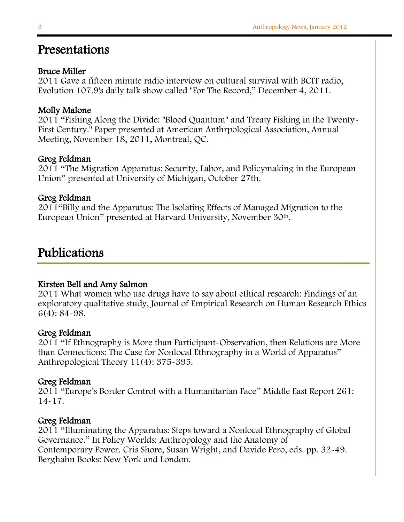## Presentations

#### Bruce Miller

2011 Gave a fifteen minute radio interview on cultural survival with BCIT radio, Evolution 107.9's daily talk show called "For The Record," December 4, 2011.

#### Molly Malone

2011 "Fishing Along the Divide: "Blood Quantum" and Treaty Fishing in the Twenty-First Century." Paper presented at American Anthrpological Association, Annual Meeting, November 18, 2011, Montreal, QC.

#### Greg Feldman

2011 "The Migration Apparatus: Security, Labor, and Policymaking in the European Union" presented at University of Michigan, October 27th.

#### Greg Feldman

2011"Billy and the Apparatus: The Isolating Effects of Managed Migration to the European Union" presented at Harvard University, November 30<sup>th</sup>.

# Publications

j

#### Kirsten Bell and Amy Salmon

2011 What women who use drugs have to say about ethical research: Findings of an exploratory qualitative study, Journal of Empirical Research on Human Research Ethics 6(4): 84-98.

#### Greg Feldman

2011 "If Ethnography is More than Participant-Observation, then Relations are More than Connections: The Case for Nonlocal Ethnography in a World of Apparatus" Anthropological Theory 11(4): 375-395.

#### Greg Feldman

2011 "Europe's Border Control with a Humanitarian Face" Middle East Report 261: 14-17.

#### Greg Feldman

2011 "Illuminating the Apparatus: Steps toward a Nonlocal Ethnography of Global Governance." In Policy Worlds: Anthropology and the Anatomy of Contemporary Power. Cris Shore, Susan Wright, and Davide Pero, eds. pp. 32-49. Berghahn Books: New York and London.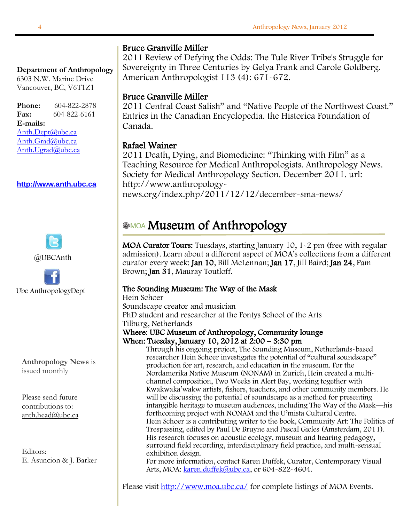#### l, **Department of Anthropology**

 6303 N.W. Marine Drive Vancouver, BC, V6T1Z1

 $\overline{\phantom{a}}$  $\ddot{\phantom{0}}$  **E-mails:** [Anth.Dept@ubc.ca](mailto:Anth.Dept@ubc.ca) **Phone:** 604-822-2878 **Fax:** 604-822-6161

[Anth.Grad@ubc.ca](mailto:anth.grad@ubc.ca) [Anth.Ugrad@ubc.ca](mailto:Anth.Ugrad@ubc.ca)

#### **[http://www.anth.ubc.ca](http://www.anth.ubc.ca/)**





**Anthropology News** is issued monthly

Please send future contributions to: [anth.head@ubc.ca](mailto:anth.head@ubc.ca)

Editors: E. Asuncion & J. Barker

#### Bruce Granville Miller

2011 Review of Defying the Odds: The Tule River Tribe's Struggle for Sovereignty in Three Centuries by Gelya Frank and Carole Goldberg. American Anthropologist 113 (4): 671-672.

#### Bruce Granville Miller

2011 Central Coast Salish" and "Native People of the Northwest Coast." Entries in the Canadian Encyclopedia. the Historica Foundation of Canada.

#### Rafael Wainer

 news.org/index.php/2011/12/12/december-sma-news/ 2011 Death, Dying, and Biomedicine: "Thinking with Film" as a Teaching Resource for Medical Anthropologists. Anthropology News. Society for Medical Anthropology Section. December 2011. url: http://www.anthropology-

#### $\overline{a}$ Museum of Anthropology

I MOA Curator Tours: Tuesdays, starting January 10, 1-2 pm (free with regular admission). Learn about a different aspect of MOA's collections from a different curator every week: Jan 10, Bill McLennan; Jan 17, Jill Baird; Jan 24, Pam Brown; Jan 31, Mauray Toutloff.

#### The Sounding Museum: The Way of the Mask

Hein Schoer Soundscape creator and musician PhD student and researcher at the Fontys School of the Arts Tilburg, Netherlands Where: UBC Museum of Anthropology, Community lounge When: Tuesday, January 10, 2012 at 2:00 – 3:30 pm

Through his ongoing project, The Sounding Museum, Netherlands-based researcher Hein Schoer investigates the potential of "cultural soundscape" production for art, research, and education in the museum. For the Nordamerika Native Museum (NONAM) in Zurich, Hein created a multichannel composition, Two Weeks in Alert Bay, working together with Kwakwaka'wakw artists, fishers, teachers, and other community members. He will be discussing the potential of soundscape as a method for presenting intangible heritage to museum audiences, including The Way of the Mask—his forthcoming project with NONAM and the U'mista Cultural Centre. Hein Schoer is a contributing writer to the book, Community Art: The Politics of Trespassing, edited by Paul De Bruyne and Pascal Gicles (Amsterdam, 2011). His research focuses on acoustic ecology, museum and hearing pedagogy, surround field recording, interdisciplinary field practice, and multi-sensual exhibition design.

For more information, contact Karen Duffek, Curator, Contemporary Visual Arts, MOA[: karen.duffek@ubc.ca,](mailto:karen.duffek@ubc.ca) or 604-822-4604.

Please visit<http://www.moa.ubc.ca/> for complete listings of MOA Events.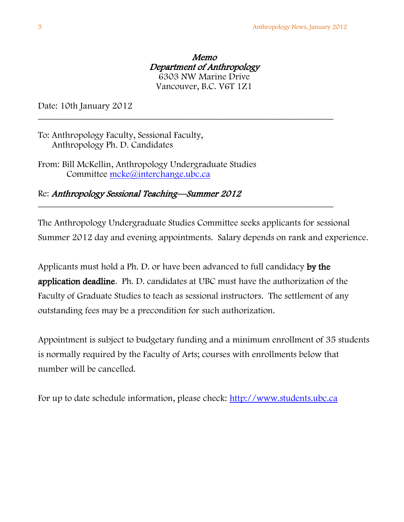Memo Department of Anthropology 6303 NW Marine Drive Vancouver, B.C. V6T 1Z1

\_\_\_\_\_\_\_\_\_\_\_\_\_\_\_\_\_\_\_\_\_\_\_\_\_\_\_\_\_\_\_\_\_\_\_\_\_\_\_\_\_\_\_\_\_\_\_\_\_\_\_\_\_\_\_\_\_\_\_\_\_\_\_\_

\_\_\_\_\_\_\_\_\_\_\_\_\_\_\_\_\_\_\_\_\_\_\_\_\_\_\_\_\_\_\_\_\_\_\_\_\_\_\_\_\_\_\_\_\_\_\_\_\_\_\_\_\_\_\_\_\_\_\_\_\_\_\_\_

Date: 10th January 2012

To: Anthropology Faculty, Sessional Faculty, Anthropology Ph. D. Candidates

From: Bill McKellin, Anthropology Undergraduate Studies Committee [mcke@interchange.ubc.ca](mailto:mcke@interchange.ubc.ca)

Re: Anthropology Sessional Teaching—Summer 2012

The Anthropology Undergraduate Studies Committee seeks applicants for sessional Summer 2012 day and evening appointments. Salary depends on rank and experience.

Applicants must hold a Ph. D. or have been advanced to full candidacy by the application deadline. Ph. D. candidates at UBC must have the authorization of the Faculty of Graduate Studies to teach as sessional instructors. The settlement of any outstanding fees may be a precondition for such authorization.

Appointment is subject to budgetary funding and a minimum enrollment of 35 students is normally required by the Faculty of Arts; courses with enrollments below that number will be cancelled.

For up to date schedule information, please check: [http://www.students.ubc.ca](http://www.students.ubc.ca/)